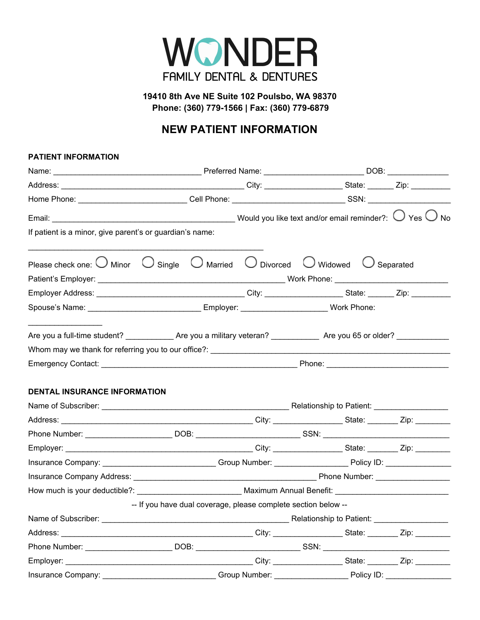

**19410 8th Ave NE Suite 102 Poulsbo, WA 98370 Phone: (360) 779-1566 | Fax: (360) 779-6879**

## **NEW PATIENT INFORMATION**

## **PATIENT INFORMATION**

| If patient is a minor, give parent's or guardian's name:                                                                                                                                                                       |                                                                                                                                        |                                                                                                  |  |  |  |  |  |
|--------------------------------------------------------------------------------------------------------------------------------------------------------------------------------------------------------------------------------|----------------------------------------------------------------------------------------------------------------------------------------|--------------------------------------------------------------------------------------------------|--|--|--|--|--|
| Please check one: $\bigcup$ Minor $\bigcup$ Single $\bigcup$ Married $\bigcup$ Divorced $\bigcup$ Widowed $\bigcup$ Separated                                                                                                  |                                                                                                                                        |                                                                                                  |  |  |  |  |  |
|                                                                                                                                                                                                                                |                                                                                                                                        |                                                                                                  |  |  |  |  |  |
|                                                                                                                                                                                                                                |                                                                                                                                        |                                                                                                  |  |  |  |  |  |
|                                                                                                                                                                                                                                |                                                                                                                                        | Spouse's Name: ___________________________________Employer: _________________________Work Phone: |  |  |  |  |  |
|                                                                                                                                                                                                                                |                                                                                                                                        |                                                                                                  |  |  |  |  |  |
|                                                                                                                                                                                                                                |                                                                                                                                        |                                                                                                  |  |  |  |  |  |
|                                                                                                                                                                                                                                |                                                                                                                                        |                                                                                                  |  |  |  |  |  |
|                                                                                                                                                                                                                                |                                                                                                                                        |                                                                                                  |  |  |  |  |  |
| <b>DENTAL INSURANCE INFORMATION</b>                                                                                                                                                                                            |                                                                                                                                        |                                                                                                  |  |  |  |  |  |
|                                                                                                                                                                                                                                |                                                                                                                                        |                                                                                                  |  |  |  |  |  |
|                                                                                                                                                                                                                                |                                                                                                                                        |                                                                                                  |  |  |  |  |  |
|                                                                                                                                                                                                                                |                                                                                                                                        |                                                                                                  |  |  |  |  |  |
|                                                                                                                                                                                                                                |                                                                                                                                        |                                                                                                  |  |  |  |  |  |
|                                                                                                                                                                                                                                | Insurance Company: ________________________________Group Number: ________________________Policy ID: __________________________________ |                                                                                                  |  |  |  |  |  |
|                                                                                                                                                                                                                                |                                                                                                                                        |                                                                                                  |  |  |  |  |  |
|                                                                                                                                                                                                                                |                                                                                                                                        |                                                                                                  |  |  |  |  |  |
|                                                                                                                                                                                                                                | -- If you have dual coverage, please complete section below --                                                                         |                                                                                                  |  |  |  |  |  |
| Name of Subscriber:                                                                                                                                                                                                            | <b>Example 2018</b> Relationship to Patient: <b>Constitutions</b> 2018 19: 2019 19: 2019 19: 2019 19: 2019 19: 2019 19: 2019           |                                                                                                  |  |  |  |  |  |
|                                                                                                                                                                                                                                |                                                                                                                                        |                                                                                                  |  |  |  |  |  |
|                                                                                                                                                                                                                                |                                                                                                                                        |                                                                                                  |  |  |  |  |  |
|                                                                                                                                                                                                                                |                                                                                                                                        |                                                                                                  |  |  |  |  |  |
| Insurance Company: The Company of Company of Company Company Company Company Company Company Company Company Company Company Company Company Company Company Company Company Company Company Company Company Company Company C |                                                                                                                                        |                                                                                                  |  |  |  |  |  |